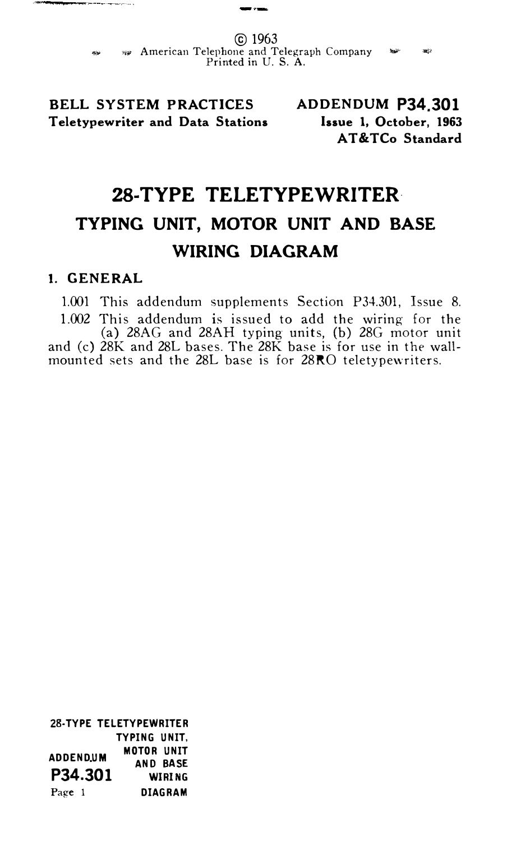© 1963 \* American Telephone and Telegraph Company �" Printed in U. S. A.

BELL SYSTEM PRACTICES Teletypewriter and Data Stations ADDENDUM P34.301 Issue 1, October, 1963 AT&TCo Standard

# 28-TYPE TELETYPEWRITER TYPING UNIT, MOTOR UNIT AND BASE WIRING DIAGRAM

### 1. GENERAL

1.001 This addendum supplements Section P34.301, Issue 8. 1.002 This addendum is issued to add the wiring for the (a) 28AG and 28AH typing units, (b) 28G motor unit and (c) 28K and 2SL bases. The 28K base is for use in the wallmounted sets and the 2SL base is for 28RO teletypewriters.

28-TYPE TELETYPEWRITER TYPING UNIT, ADDEND.UM MOTOR UNIT P34.301 **AND BASE** BASE<br>IRING Page 1 DIAGRAM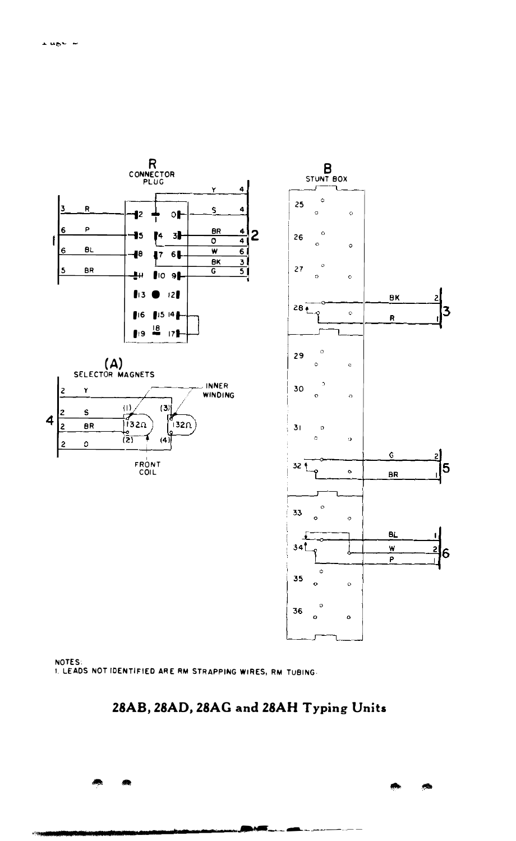

**ILLEADS NOT IDENTIFIED ARE RM STRAPPING WIRES, RM TUBING.** 

# 28AB, 28AD, 28AG and 28AH Typing Units

and .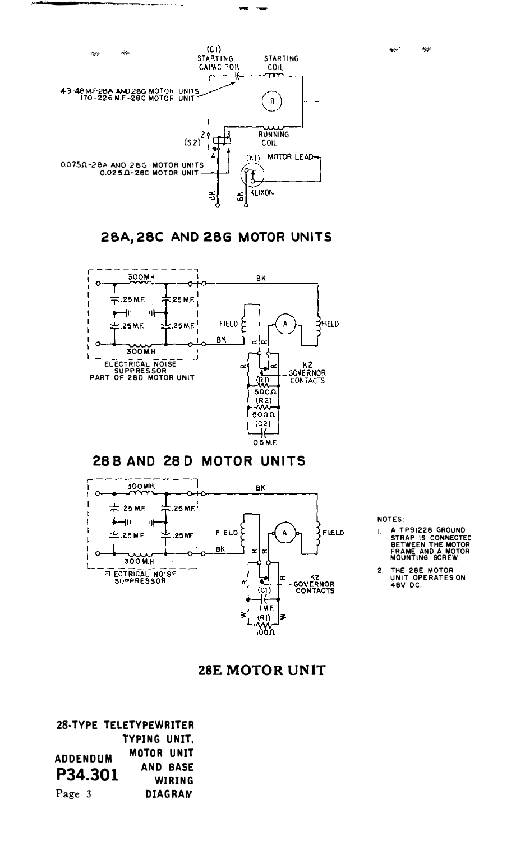

# 2BA, 28C AND 28G MOTOR UNITS



#### 28BAND 280 MOTOR UNITS



NOTES.

- A T P91228 GROUND STRAP IS CONNECTEC BETWEEN THE MOTOR FRAME AND A. MOTOR MOUNTING SCREW
- 2. THE 28E MOTOR UNIT OPERATES ON 48V DC.

#### 28E MOTOR UNIT

28·TYPE TELETYPEWRITER TYPING UNIT, ADDENDUM P34.301 Page 3 MOTOR UNIT AND BASE WIRING DIAGRAW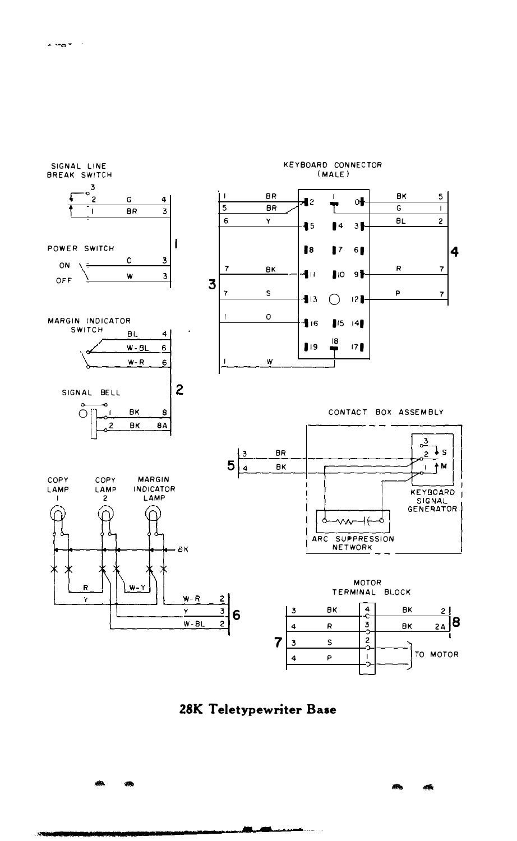



والمستد

 $\bullet$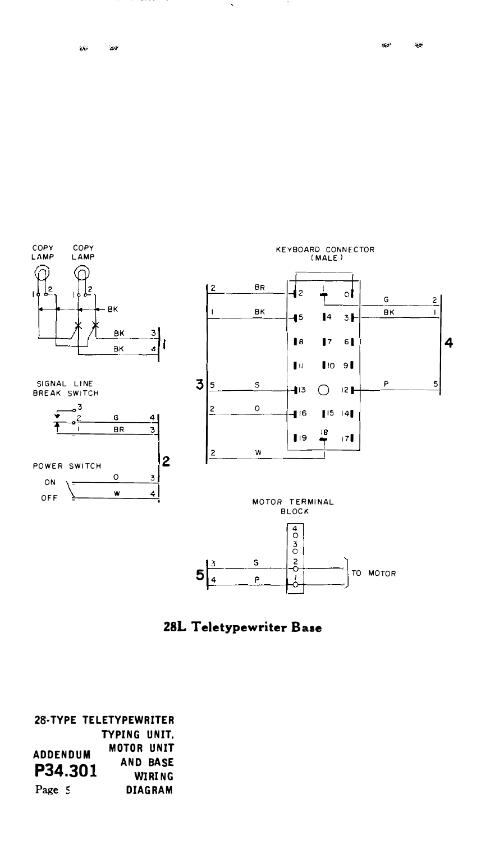

 $\mathbf{w}$ ser.

28L Teletypewriter Base

28-TYPE TELETYPEWRITER TYPING UNIT, MOTOR UNIT ADDENDUM AND BASE P34.301 **WIRING** Page 5 **DIAGRAM**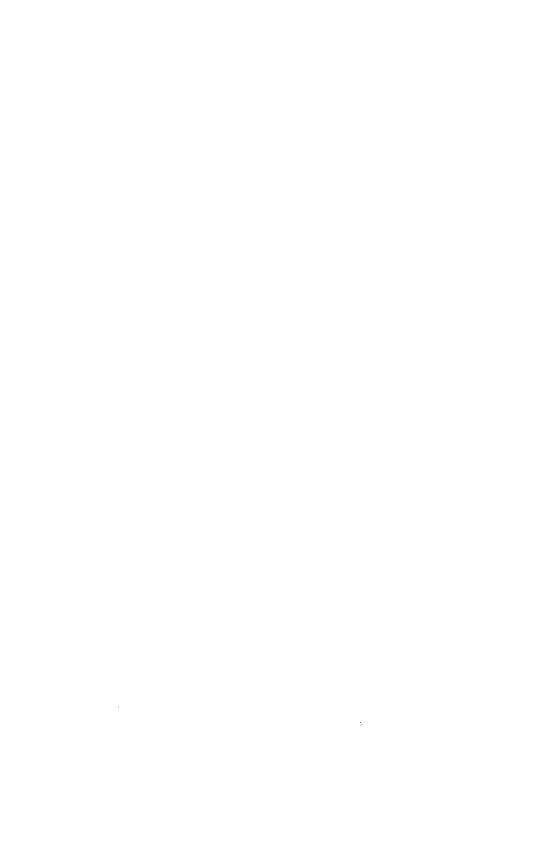$\label{eq:2} \mathcal{L} = \mathcal{L} \left( \mathcal{L} \right) \left( \mathcal{L} \right) \left( \mathcal{L} \right) \left( \mathcal{L} \right) \left( \mathcal{L} \right)$  $\label{eq:2.1} \frac{1}{\sqrt{2}}\left(\frac{1}{\sqrt{2}}\right)^{2} \left(\frac{1}{\sqrt{2}}\right)^{2} \left(\frac{1}{\sqrt{2}}\right)^{2} \left(\frac{1}{\sqrt{2}}\right)^{2} \left(\frac{1}{\sqrt{2}}\right)^{2} \left(\frac{1}{\sqrt{2}}\right)^{2} \left(\frac{1}{\sqrt{2}}\right)^{2} \left(\frac{1}{\sqrt{2}}\right)^{2} \left(\frac{1}{\sqrt{2}}\right)^{2} \left(\frac{1}{\sqrt{2}}\right)^{2} \left(\frac{1}{\sqrt{2}}\right)^{2} \left(\$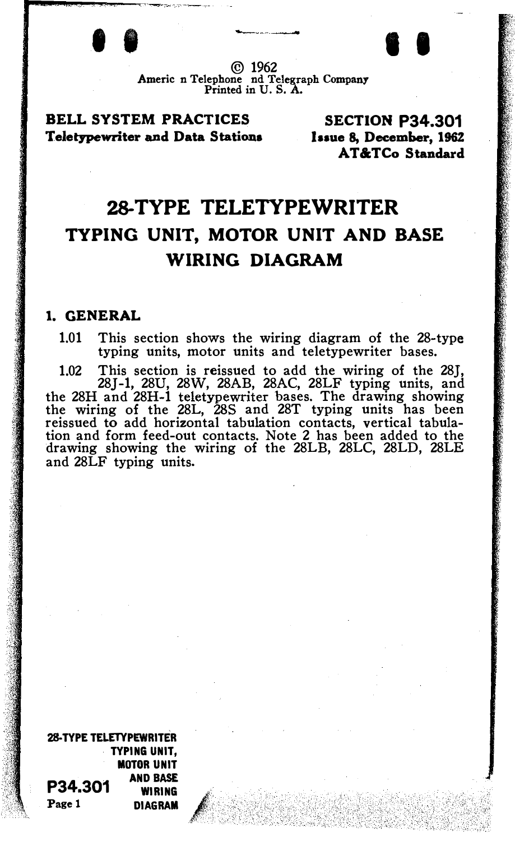© <sup>1962</sup> Americ n Telephone nd Telegraph Company Printed in U.S. A.

• • I I

BELL SYSTEM PRACTICES Teletypewriter and Data Stations

SECTION P34.301 laaue 8, December, 1962 AT &TCo Standard

# 28-TYPE TELETYPEWRITER TYPING UNIT, MOTOR UNIT AND BASE WIRING DIAGRAM

### 1. GENERAL

1.01 This section shows the wiring diagram of the 28-type typing units, motor units and teletypewriter bases.

1.02 This section is reissued to add the wiring of the 28J, 28J -1, 28U, 28W, 28AB, 28AC, 28LF typing units, and

the 28H and 28H-1 teletypewriter bases. The drawing showing the wiring of the 28L, 28S and 28T typing units has been reissued to add horizontal tabulation contacts, vertical tabulation and form feed-out contacts. Note 2 has been added to the drawing showing the wiring of the 28LB, 28LC, 28LD, 28LE and 28LF typing units.

28-TYPE TELETYPEWRITER TYPING UNIT, MOTOR UNIT P34.301 AND BASE Page 1 DIAGRAM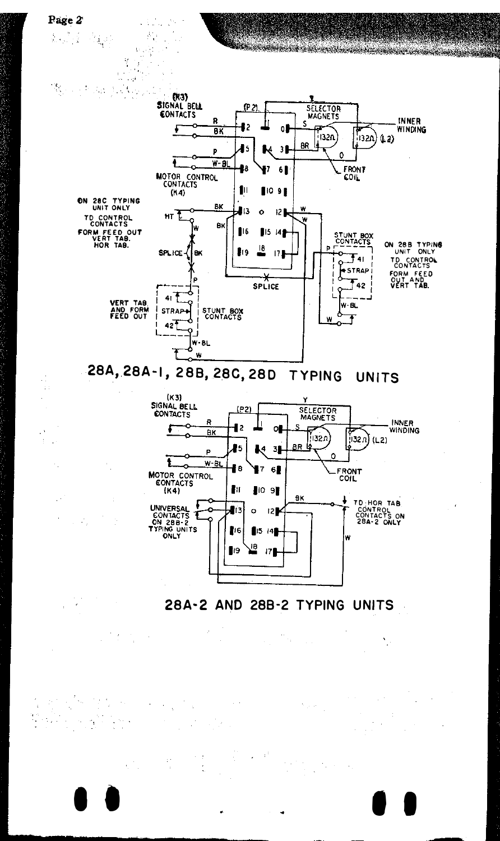

28A, 28A-1, 28B, 28C, 28D **TYPING** UNITS



# 28A-2 AND 28B-2 TYPING UNITS

 $\omega \sim t^3$ 

l,

 $\mathcal{H}^{\pm}$   $\mathcal{H}^{\pm}$ 

 $\pm$  内容の

 $\chi^{(2)}$  .

 $\sim 10^{-1}$  km  $^{-1}$ 

÷,

in P

 $\frac{1}{2}$ 

的复数

 $\mathcal{A}^{(n)}_{\mathbf{r}}$  , we

 $\hat{\Sigma}_i$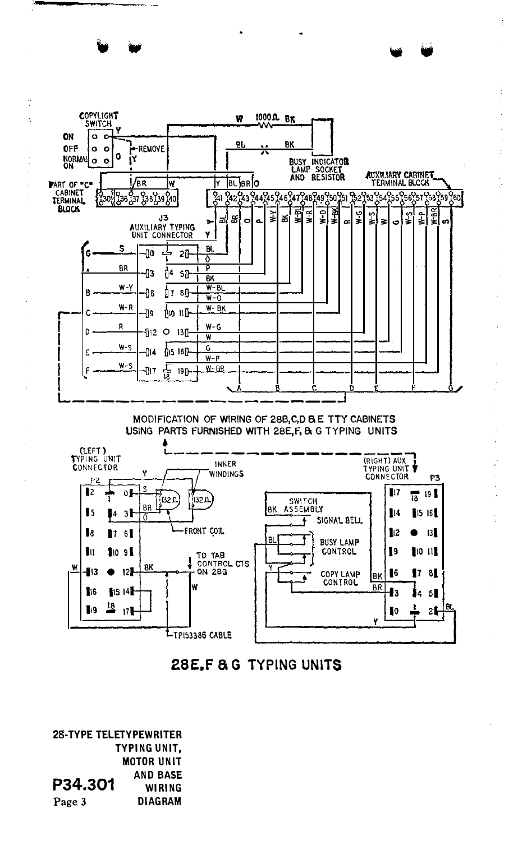



28-TYPE TELETYPEWRITER **TYPING UNIT. MOTOR UNIT AND BASE** P34.301 WIRING Page 3 **DIAGRAM**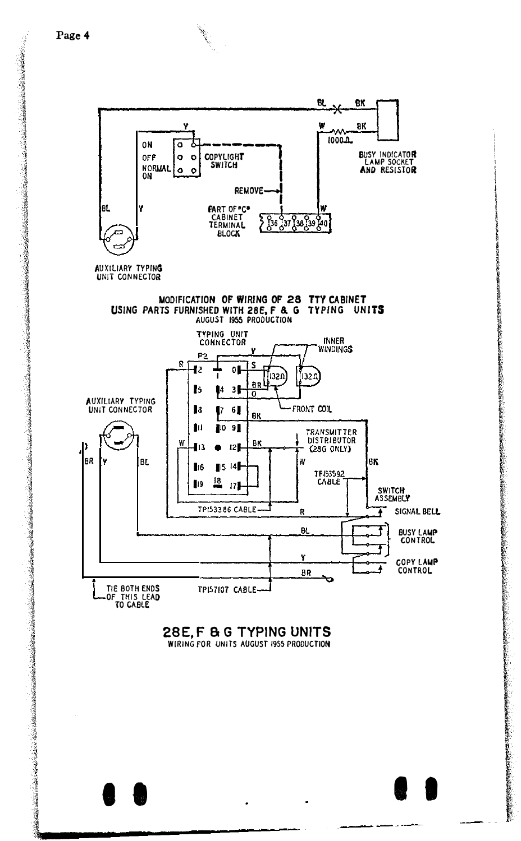**Contract of the Contract of Contract of Contract of the Contract of Contract of Contract of Contract of Contract of Contract of Contract of Contract of Contract of Contract of Contract of Contract of Contract of Contract** 



WIRING FOR UNITS AUGUST 1955 PRODUCTION

www.communications.com/2020/2020/2020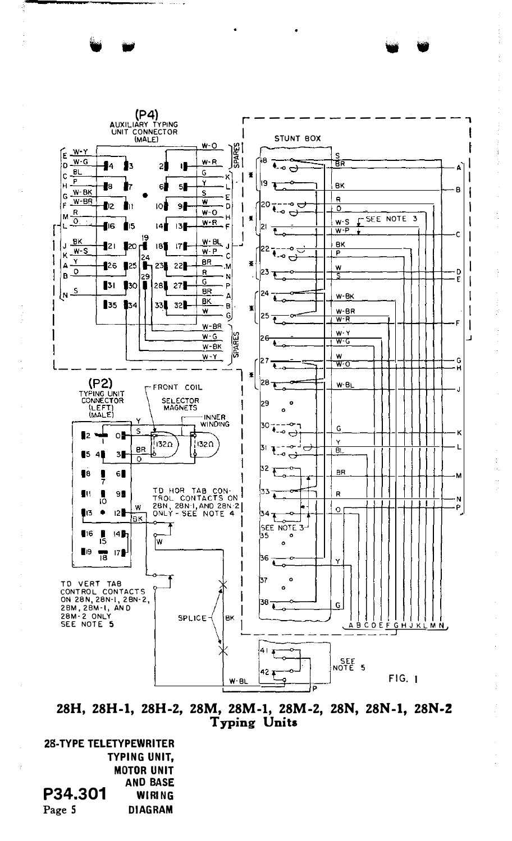

28H, 28H-1, 28H-2, 28M, 28M-1, 28M-2, 28N, 28N-1, 28N-2 Typing Units

**28-TYPE TELETYPEWRITER TYPING UNIT. MOTOR UNIT AND BASE** P34,301 WIRING Page 5 **DIAGRAM**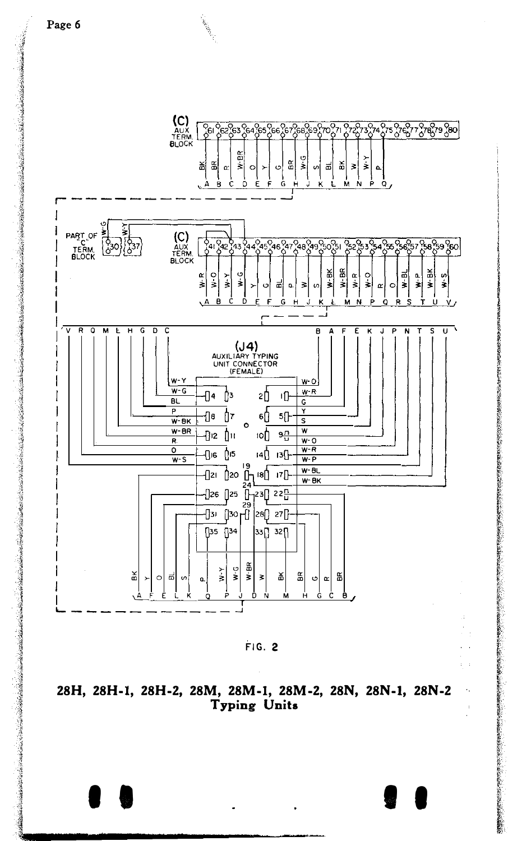Page 6



FIG. 2

28H, 28H-1, 28H-2, 28M, 28M-1, 28M-2, 28N, 28N-1, 28N-2 **Typing Units**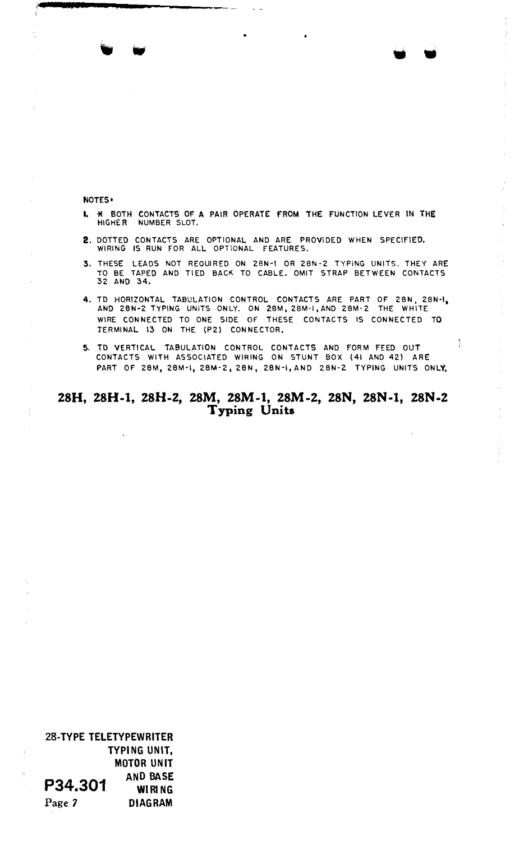NOTES•

I, \* BOTH CONTACTS OF A PAIR OPERATE FROM THE FUNCTION LEVER IN THE HIGHER NUMBER SLOT.

• •

- 2. DOTTED CONTACTS ARE OPTIONAL AND ARE PROVIDED WHEN SPECIFIED.<br>WIRING IS RUN FOR ALL OPTIONAL FEATURES.
- 3. THESE LEADS NOT REQUIRED ON 28N-I OR 28N-2 TYPING UNITS. THEY ARE TO BE TAPED AND TIED BACK TO CABLE. OMIT STRAP BETWEEN CONTACTS 32 AND 34.
- 4. TO HORIZONTAL TABULATION CONTROL CONTACTS ARE PART OF 28N, 2BN·l, AND 28N-2 TYPING UNITS ONLY. ON 28M, 28M-1, AND 28M-2 THE WHITE WIRE CONNECTED TO ONE SIDE OF THESE CONTACTS IS CONNECTED TO TERMINAL 13 ON THE {P2} CONNECTOR,
- 5. TO VERTICAL TABULATION CONTROL CONTACTS AND FORM FEED OUT CONTACTS WITH ASSOCIATED WIRING ON STUNT BOX (41 AND 42) ARE PART OF 28M, 28M-1, 28M-2, 28N, 28N-1, AND 28N-2 TYPING UNITS ONLY.

#### 28H, 28H-1, 28H-Z, 28M, 28M-I, 28M-2, 28N, 28N-1, 28N-2 Typing Units

28-TYPE TELETYPEWRITER TYPING UNIT, MOTOR UNIT **P34.301 AND BASE** Page 7 DIAGRAM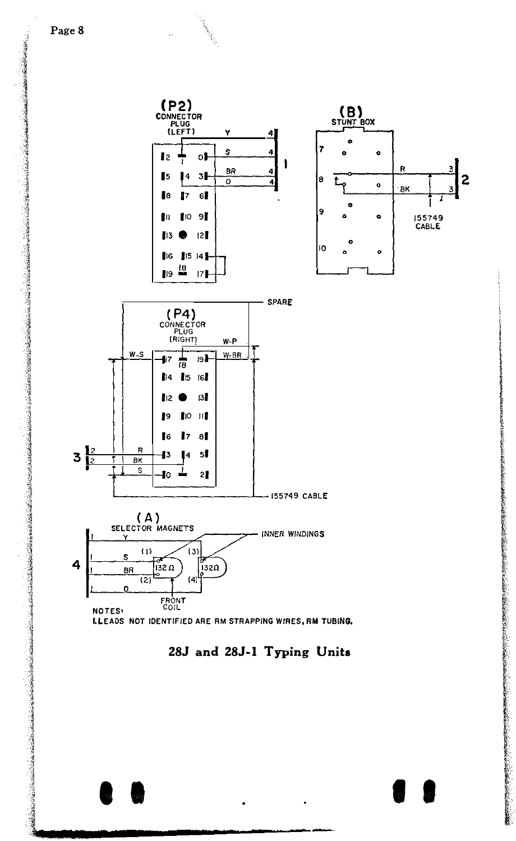、このことのことに、このことを、このことに、このことに、このことに、このことに、このことに、このことに、このことに、このことに、このことに、このことに、このことに、このことに、このことに、このことに、このことに、このこと<br>それは、このことに、このことに、このことに、このことに、このことに、このことに、このことに、このことに、このことに、このことに、このことに、このことに、このことに、このことに、このことに、このことに、このことに、この



28J and 28J-1 Typing Units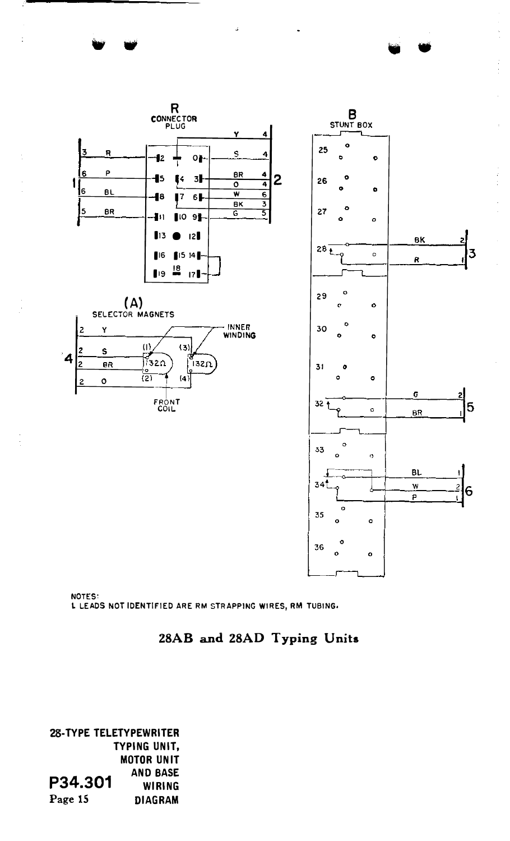

NOTES: L LEADS NOT IDENTIFIED ARE RM STRAPPING WIRES, RM TUBING.

28AB and 28AD Typing Units

28-TYPE TELETYPEWRITER **TYPING UNIT. MOTOR UNIT AND BASE** P34.301 WIRING Page 15 **DIAGRAM**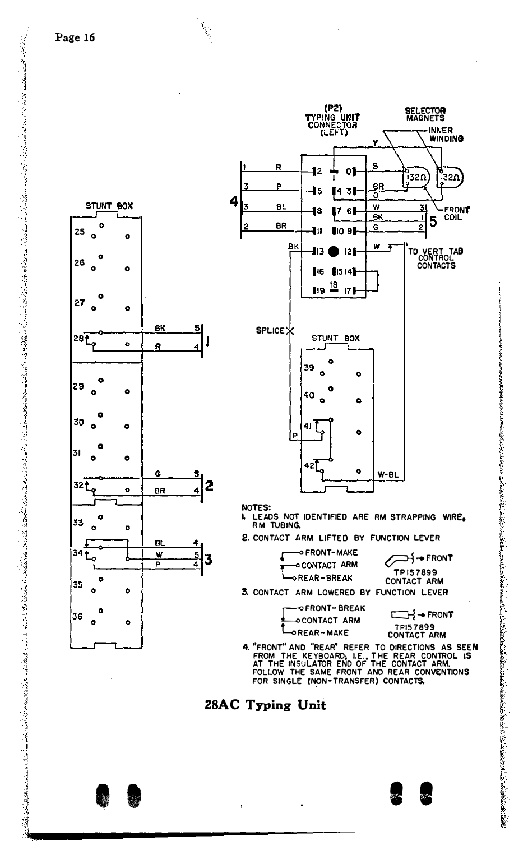经经济管理 医腹膜炎 医肠腹膜炎 医心包的 医心包的 医心包的 医心包的 医心包的 医心包的 医心包的

THE R. P. LEWIS CO., LANSING MICH.



28AC Typing Unit

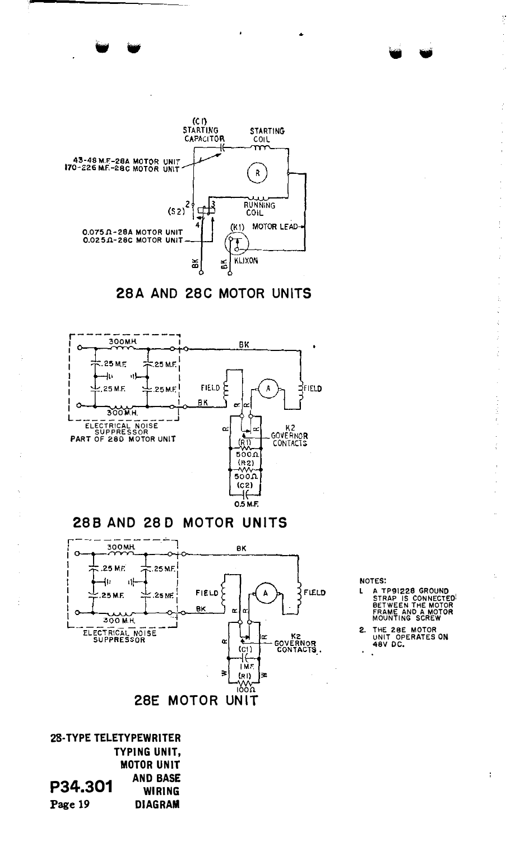

28A AND 28C MOTOR UNITS



## 28B AND 28D MOTOR UNITS



28-TYPE TELETYPEWRITER **TYPING UNIT. MOTOR UNIT AND BASE** P34.301 WIRING Page 19 **DIAGRAM**  NOTES:

A TP91228 GROUND t. STRAP IS CONNECTED FRAME AND A MOTOR

í

 $\frac{1}{2}$ 

Î,

THE 28E MOTOR<br>UNIT OPERATES ON<br>48V DC.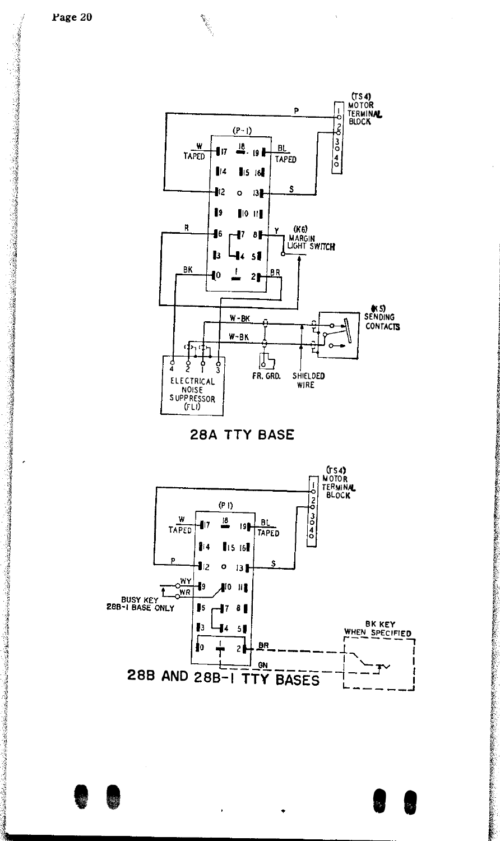,"以建设的方法,"这是在这个地方的一个。<br>"我们的一个人,我们的一个人,我们的一个人,我们的一个人,我们的一个人,我们的一个人,我们的一个人,我们的一个人,我们的一个人,我们的一个人,我们的一个人,我们的

 $\overline{\phantom{a}}$ 



All Carpenter



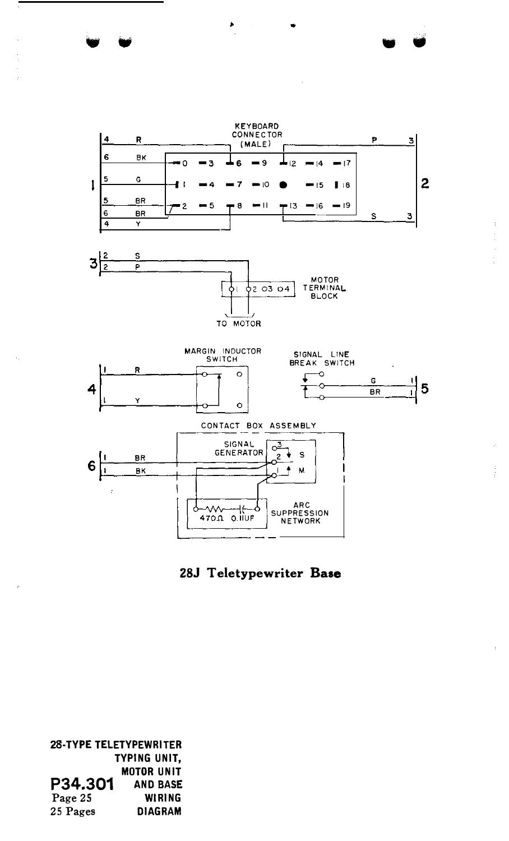

Î



28-TYPE TELETYPEWRITER TYPING UNIT, **MOTOR UNIT** P34.301<br>Page 25 **AND BASE** WIRING 25 Pages **DIAGRAM**